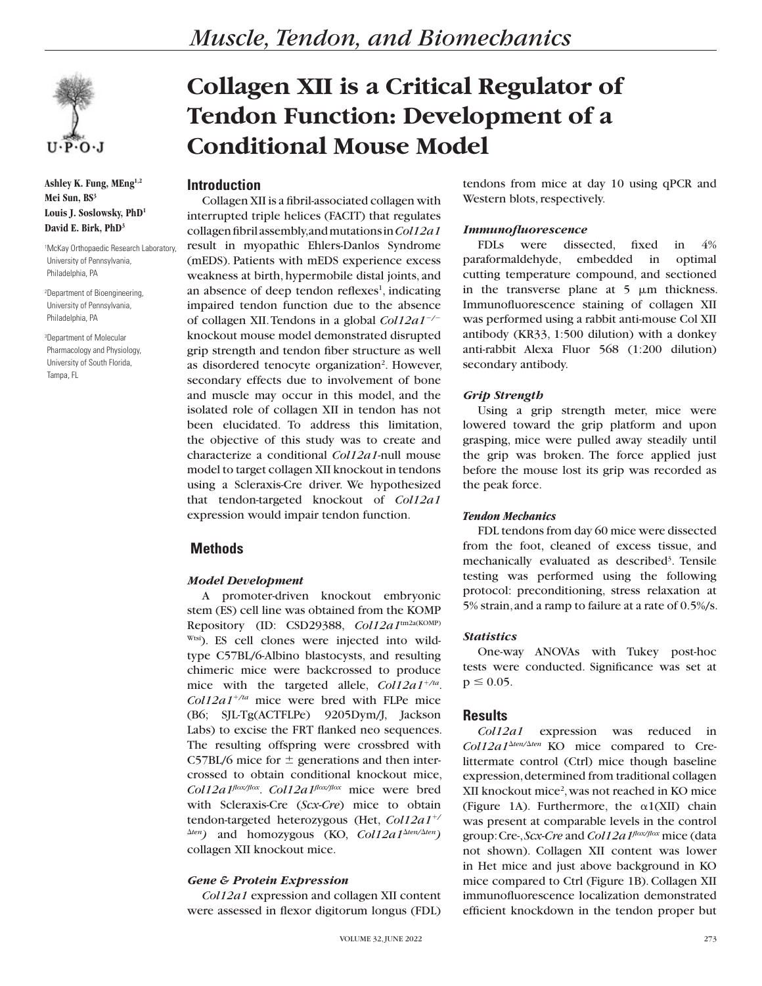

**Ashley K. Fung, MEng1,2 Mei Sun, BS3 Louis J. Soslowsky, PhD1 David E. Birk, PhD3**

1 McKay Orthopaedic Research Laboratory, University of Pennsylvania, Philadelphia, PA

2 Department of Bioengineering, University of Pennsylvania, Philadelphia, PA

3 Department of Molecular Pharmacology and Physiology, University of South Florida, Tampa, FL

# **Collagen XII is a Critical Regulator of Tendon Function: Development of a Conditional Mouse Model**

# **Introduction**

Collagen XII is a fibril-associated collagen with interrupted triple helices (FACIT) that regulates collagen fibril assembly, and mutations in *Col12a1* result in myopathic Ehlers-Danlos Syndrome (mEDS). Patients with mEDS experience excess weakness at birth, hypermobile distal joints, and an absence of deep tendon reflexes<sup>1</sup>, indicating impaired tendon function due to the absence of collagen XII. Tendons in a global *Col12a1<sup>-/-</sup>* knockout mouse model demonstrated disrupted grip strength and tendon fiber structure as well as disordered tenocyte organization<sup>2</sup>. However, secondary effects due to involvement of bone and muscle may occur in this model, and the isolated role of collagen XII in tendon has not been elucidated. To address this limitation, the objective of this study was to create and characterize a conditional *Col12a1*-null mouse model to target collagen XII knockout in tendons using a Scleraxis-Cre driver. We hypothesized that tendon-targeted knockout of *Col12a1* expression would impair tendon function.

# **Methods**

#### *Model Development*

A promoter-driven knockout embryonic stem (ES) cell line was obtained from the KOMP Repository (ID: CSD29388, *Col12a1*tm2a(KOMP) Wtsi). ES cell clones were injected into wildtype C57BL/6-Albino blastocysts, and resulting chimeric mice were backcrossed to produce mice with the targeted allele,  $Col12a1^{+/ta}$ .  $Col12a1^{+/ta}$  mice were bred with FLPe mice (B6; SJL-Tg(ACTFLPe) 9205Dym/J, Jackson Labs) to excise the FRT flanked neo sequences. The resulting offspring were crossbred with C57BL/6 mice for  $\pm$  generations and then intercrossed to obtain conditional knockout mice, *Col12a1flox/flox*. *Col12a1flox/flox* mice were bred with Scleraxis-Cre (*Scx-Cre*) mice to obtain tendon-targeted heterozygous (Het, *Col12a1<sup>+/</sup>*  $\Delta$ *ten*) and homozygous (KO, *Col12a1* $\Delta$ *ten/* $\Delta$ *ten*) collagen XII knockout mice.

## *Gene & Protein Expression*

*Col12a1* expression and collagen XII content were assessed in flexor digitorum longus (FDL)

tendons from mice at day 10 using qPCR and Western blots, respectively.

## *Immunofluorescence*

FDLs were dissected, fixed in 4% paraformaldehyde, embedded in optimal cutting temperature compound, and sectioned in the transverse plane at  $5 \mu m$  thickness. Immunofluorescence staining of collagen XII was performed using a rabbit anti-mouse Col XII antibody (KR33, 1:500 dilution) with a donkey anti-rabbit Alexa Fluor 568 (1:200 dilution) secondary antibody.

### *Grip Strength*

Using a grip strength meter, mice were lowered toward the grip platform and upon grasping, mice were pulled away steadily until the grip was broken. The force applied just before the mouse lost its grip was recorded as the peak force.

#### *Tendon Mechanics*

FDL tendons from day 60 mice were dissected from the foot, cleaned of excess tissue, and mechanically evaluated as described<sup>3</sup>. Tensile testing was performed using the following protocol: preconditioning, stress relaxation at 5% strain, and a ramp to failure at a rate of 0.5%/s.

## *Statistics*

One-way ANOVAs with Tukey post-hoc tests were conducted. Significance was set at  $p \leq 0.05$ .

## **Results**

*Col12a1* expression was reduced in  $Col12a1^{\Delta ten/\Delta ten}$  KO mice compared to Crelittermate control (Ctrl) mice though baseline expression, determined from traditional collagen XII knockout mice<sup>2</sup>, was not reached in KO mice (Figure 1A). Furthermore, the  $\alpha$ 1(XII) chain was present at comparable levels in the control group: Cre-, *Scx-Cre* and *Col12a1flox/flox* mice (data not shown). Collagen XII content was lower in Het mice and just above background in KO mice compared to Ctrl (Figure 1B). Collagen XII immunofluorescence localization demonstrated efficient knockdown in the tendon proper but